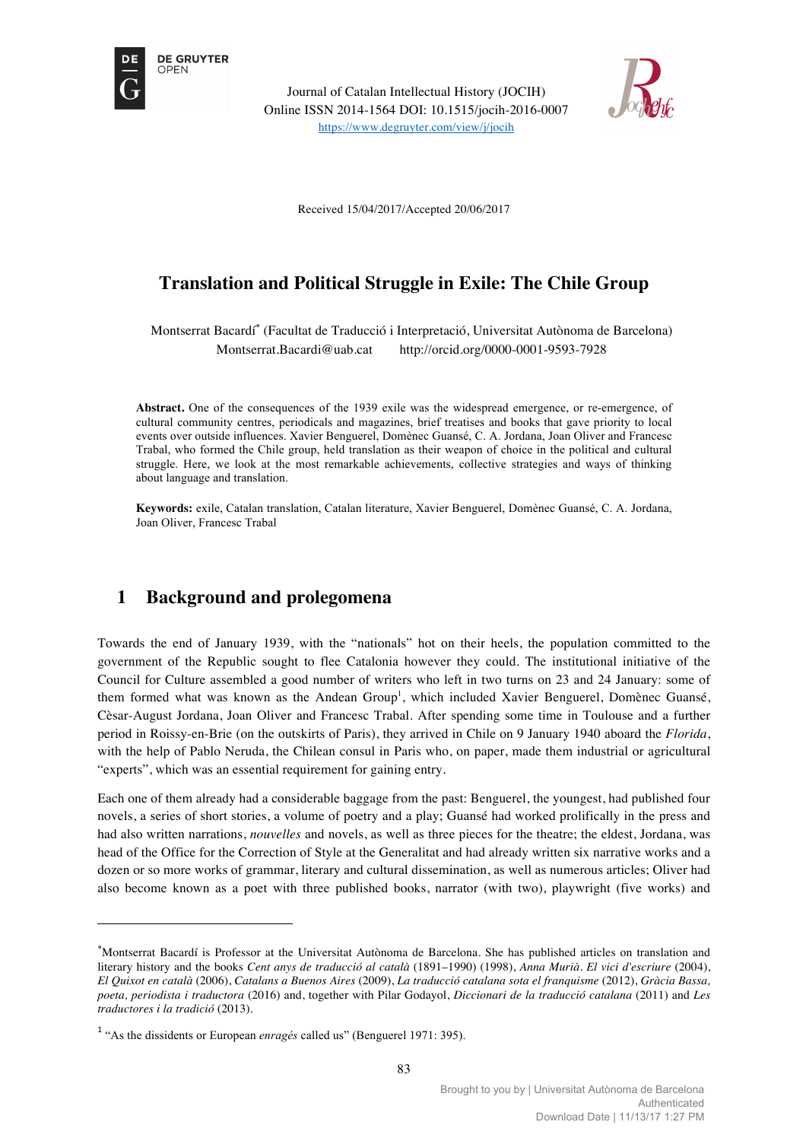



Received 15/04/2017/Accepted 20/06/2017

# **Translation and Political Struggle in Exile: The Chile Group**

Montserrat Bacardí\* (Facultat de Traducció i Interpretació, Universitat Autònoma de Barcelona) Montserrat.Bacardi@uab.cat http://orcid.org/0000-0001-9593-7928

**Abstract.** One of the consequences of the 1939 exile was the widespread emergence, or re-emergence, of cultural community centres, periodicals and magazines, brief treatises and books that gave priority to local events over outside influences. Xavier Benguerel, Domènec Guansé, C. A. Jordana, Joan Oliver and Francesc Trabal, who formed the Chile group, held translation as their weapon of choice in the political and cultural struggle. Here, we look at the most remarkable achievements, collective strategies and ways of thinking about language and translation.

**Keywords:** exile, Catalan translation, Catalan literature, Xavier Benguerel, Domènec Guansé, C. A. Jordana, Joan Oliver, Francesc Trabal

## **1 Background and prolegomena**

Towards the end of January 1939, with the "nationals" hot on their heels, the population committed to the government of the Republic sought to flee Catalonia however they could. The institutional initiative of the Council for Culture assembled a good number of writers who left in two turns on 23 and 24 January: some of them formed what was known as the Andean Group<sup>1</sup>, which included Xavier Benguerel, Domènec Guansé, Cèsar-August Jordana, Joan Oliver and Francesc Trabal. After spending some time in Toulouse and a further period in Roissy-en-Brie (on the outskirts of Paris), they arrived in Chile on 9 January 1940 aboard the *Florida*, with the help of Pablo Neruda, the Chilean consul in Paris who, on paper, made them industrial or agricultural "experts", which was an essential requirement for gaining entry.

Each one of them already had a considerable baggage from the past: Benguerel, the youngest, had published four novels, a series of short stories, a volume of poetry and a play; Guansé had worked prolifically in the press and had also written narrations, *nouvelles* and novels, as well as three pieces for the theatre; the eldest, Jordana, was head of the Office for the Correction of Style at the Generalitat and had already written six narrative works and a dozen or so more works of grammar, literary and cultural dissemination, as well as numerous articles; Oliver had also become known as a poet with three published books, narrator (with two), playwright (five works) and

 $\overline{a}$ 

<sup>\*</sup> Montserrat Bacardí is Professor at the Universitat Autònoma de Barcelona. She has published articles on translation and literary history and the books *Cent anys de traducció al català* (1891–1990) (1998), *Anna Murià. El vici d'escriure* (2004), *El Quixot en català* (2006), *Catalans a Buenos Aires* (2009), *La traducció catalana sota el franquisme* (2012), *Gràcia Bassa, poeta, periodista i traductora* (2016) and, together with Pilar Godayol, *Diccionari de la traducció catalana* (2011) and *Les traductores i la tradició* (2013).

<sup>1</sup> "As the dissidents or European *enragés* called us" (Benguerel 1971: 395).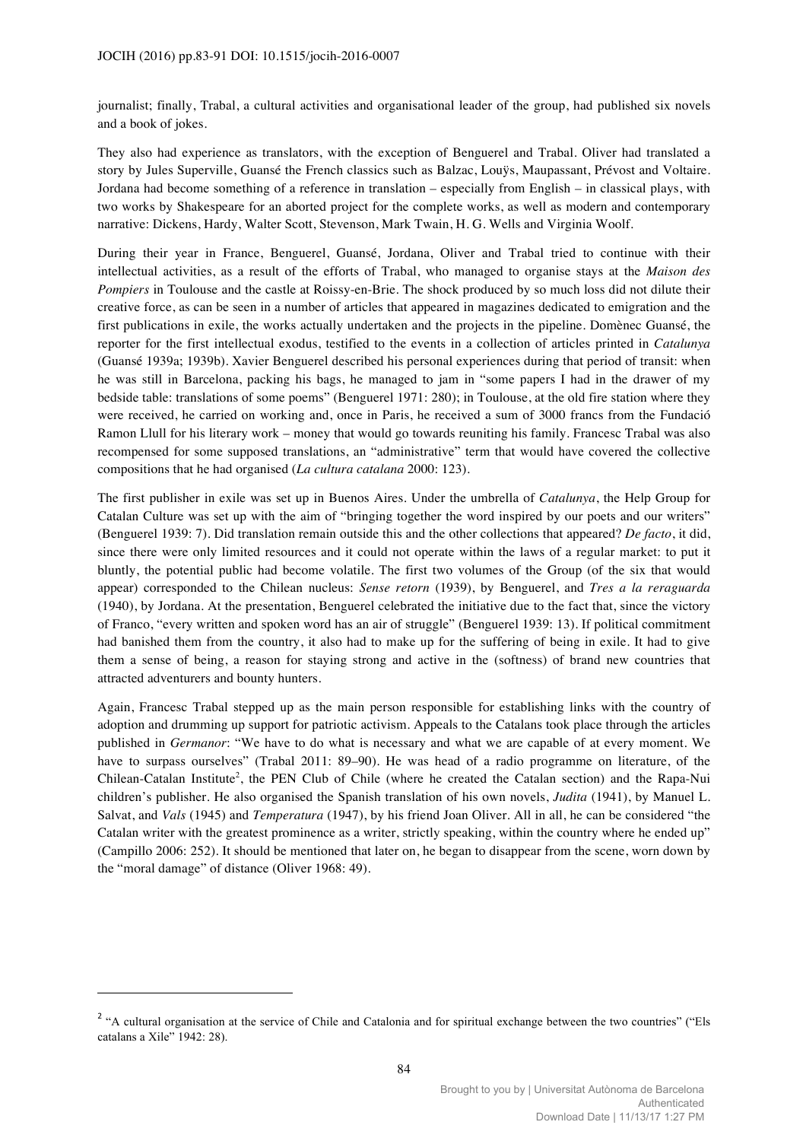journalist; finally, Trabal, a cultural activities and organisational leader of the group, had published six novels and a book of jokes.

They also had experience as translators, with the exception of Benguerel and Trabal. Oliver had translated a story by Jules Superville, Guansé the French classics such as Balzac, Louÿs, Maupassant, Prévost and Voltaire. Jordana had become something of a reference in translation – especially from English – in classical plays, with two works by Shakespeare for an aborted project for the complete works, as well as modern and contemporary narrative: Dickens, Hardy, Walter Scott, Stevenson, Mark Twain, H. G. Wells and Virginia Woolf.

During their year in France, Benguerel, Guansé, Jordana, Oliver and Trabal tried to continue with their intellectual activities, as a result of the efforts of Trabal, who managed to organise stays at the *Maison des Pompiers* in Toulouse and the castle at Roissy-en-Brie. The shock produced by so much loss did not dilute their creative force, as can be seen in a number of articles that appeared in magazines dedicated to emigration and the first publications in exile, the works actually undertaken and the projects in the pipeline. Domènec Guansé, the reporter for the first intellectual exodus, testified to the events in a collection of articles printed in *Catalunya* (Guansé 1939a; 1939b). Xavier Benguerel described his personal experiences during that period of transit: when he was still in Barcelona, packing his bags, he managed to jam in "some papers I had in the drawer of my bedside table: translations of some poems" (Benguerel 1971: 280); in Toulouse, at the old fire station where they were received, he carried on working and, once in Paris, he received a sum of 3000 francs from the Fundació Ramon Llull for his literary work – money that would go towards reuniting his family. Francesc Trabal was also recompensed for some supposed translations, an "administrative" term that would have covered the collective compositions that he had organised (*La cultura catalana* 2000: 123).

The first publisher in exile was set up in Buenos Aires. Under the umbrella of *Catalunya*, the Help Group for Catalan Culture was set up with the aim of "bringing together the word inspired by our poets and our writers" (Benguerel 1939: 7). Did translation remain outside this and the other collections that appeared? *De facto*, it did, since there were only limited resources and it could not operate within the laws of a regular market: to put it bluntly, the potential public had become volatile. The first two volumes of the Group (of the six that would appear) corresponded to the Chilean nucleus: *Sense retorn* (1939), by Benguerel, and *Tres a la reraguarda* (1940), by Jordana. At the presentation, Benguerel celebrated the initiative due to the fact that, since the victory of Franco, "every written and spoken word has an air of struggle" (Benguerel 1939: 13). If political commitment had banished them from the country, it also had to make up for the suffering of being in exile. It had to give them a sense of being, a reason for staying strong and active in the (softness) of brand new countries that attracted adventurers and bounty hunters.

Again, Francesc Trabal stepped up as the main person responsible for establishing links with the country of adoption and drumming up support for patriotic activism. Appeals to the Catalans took place through the articles published in *Germanor*: "We have to do what is necessary and what we are capable of at every moment. We have to surpass ourselves" (Trabal 2011: 89–90). He was head of a radio programme on literature, of the Chilean-Catalan Institute<sup>2</sup>, the PEN Club of Chile (where he created the Catalan section) and the Rapa-Nui children's publisher. He also organised the Spanish translation of his own novels, *Judita* (1941), by Manuel L. Salvat, and *Vals* (1945) and *Temperatura* (1947), by his friend Joan Oliver. All in all, he can be considered "the Catalan writer with the greatest prominence as a writer, strictly speaking, within the country where he ended up" (Campillo 2006: 252). It should be mentioned that later on, he began to disappear from the scene, worn down by the "moral damage" of distance (Oliver 1968: 49).

 $\overline{a}$ 

<sup>&</sup>lt;sup>2</sup> "A cultural organisation at the service of Chile and Catalonia and for spiritual exchange between the two countries" ("Els catalans a Xile" 1942: 28).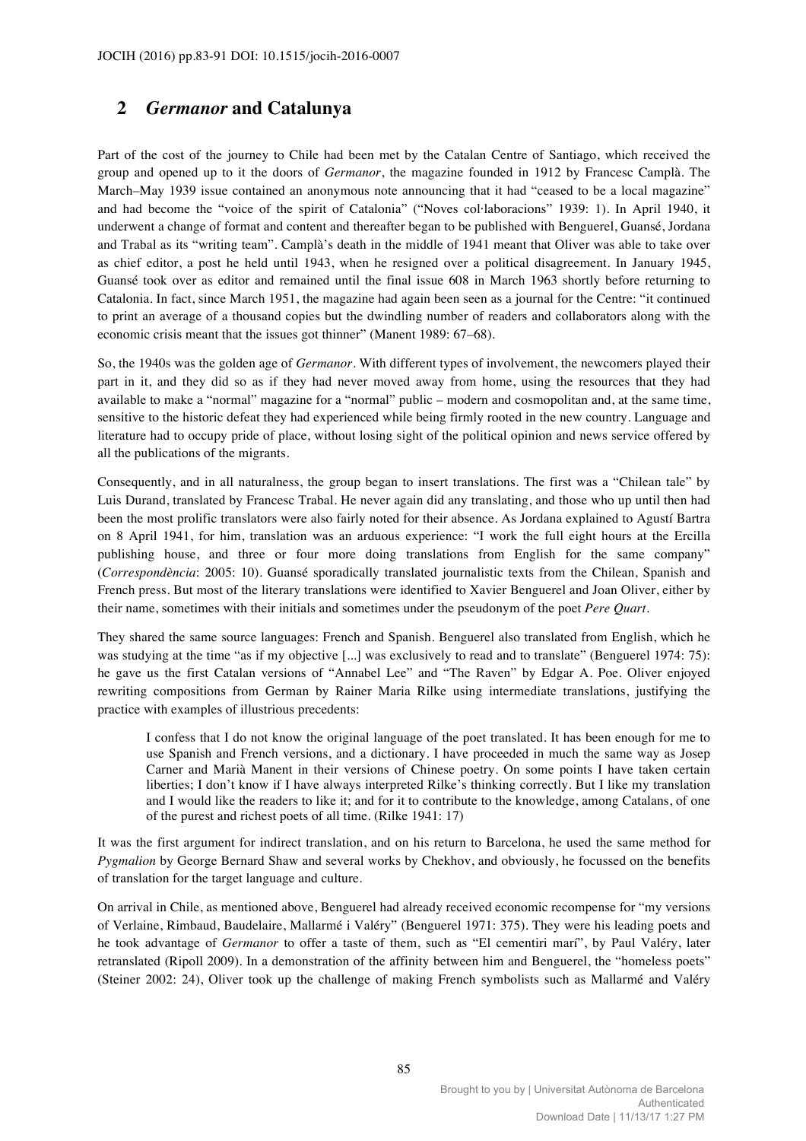### **2** *Germanor* **and Catalunya**

Part of the cost of the journey to Chile had been met by the Catalan Centre of Santiago, which received the group and opened up to it the doors of *Germanor*, the magazine founded in 1912 by Francesc Camplà. The March–May 1939 issue contained an anonymous note announcing that it had "ceased to be a local magazine" and had become the "voice of the spirit of Catalonia" ("Noves col·laboracions" 1939: 1). In April 1940, it underwent a change of format and content and thereafter began to be published with Benguerel, Guansé, Jordana and Trabal as its "writing team". Camplà's death in the middle of 1941 meant that Oliver was able to take over as chief editor, a post he held until 1943, when he resigned over a political disagreement. In January 1945, Guansé took over as editor and remained until the final issue 608 in March 1963 shortly before returning to Catalonia. In fact, since March 1951, the magazine had again been seen as a journal for the Centre: "it continued to print an average of a thousand copies but the dwindling number of readers and collaborators along with the economic crisis meant that the issues got thinner" (Manent 1989: 67–68).

So, the 1940s was the golden age of *Germanor*. With different types of involvement, the newcomers played their part in it, and they did so as if they had never moved away from home, using the resources that they had available to make a "normal" magazine for a "normal" public – modern and cosmopolitan and, at the same time, sensitive to the historic defeat they had experienced while being firmly rooted in the new country. Language and literature had to occupy pride of place, without losing sight of the political opinion and news service offered by all the publications of the migrants.

Consequently, and in all naturalness, the group began to insert translations. The first was a "Chilean tale" by Luis Durand, translated by Francesc Trabal. He never again did any translating, and those who up until then had been the most prolific translators were also fairly noted for their absence. As Jordana explained to Agustí Bartra on 8 April 1941, for him, translation was an arduous experience: "I work the full eight hours at the Ercilla publishing house, and three or four more doing translations from English for the same company" (*Correspondència*: 2005: 10). Guansé sporadically translated journalistic texts from the Chilean, Spanish and French press. But most of the literary translations were identified to Xavier Benguerel and Joan Oliver, either by their name, sometimes with their initials and sometimes under the pseudonym of the poet *Pere Quart*.

They shared the same source languages: French and Spanish. Benguerel also translated from English, which he was studying at the time "as if my objective [...] was exclusively to read and to translate" (Benguerel 1974: 75): he gave us the first Catalan versions of "Annabel Lee" and "The Raven" by Edgar A. Poe. Oliver enjoyed rewriting compositions from German by Rainer Maria Rilke using intermediate translations, justifying the practice with examples of illustrious precedents:

I confess that I do not know the original language of the poet translated. It has been enough for me to use Spanish and French versions, and a dictionary. I have proceeded in much the same way as Josep Carner and Marià Manent in their versions of Chinese poetry. On some points I have taken certain liberties; I don't know if I have always interpreted Rilke's thinking correctly. But I like my translation and I would like the readers to like it; and for it to contribute to the knowledge, among Catalans, of one of the purest and richest poets of all time. (Rilke 1941: 17)

It was the first argument for indirect translation, and on his return to Barcelona, he used the same method for *Pygmalion* by George Bernard Shaw and several works by Chekhov, and obviously, he focussed on the benefits of translation for the target language and culture.

On arrival in Chile, as mentioned above, Benguerel had already received economic recompense for "my versions of Verlaine, Rimbaud, Baudelaire, Mallarmé i Valéry" (Benguerel 1971: 375). They were his leading poets and he took advantage of *Germanor* to offer a taste of them, such as "El cementiri marí", by Paul Valéry, later retranslated (Ripoll 2009). In a demonstration of the affinity between him and Benguerel, the "homeless poets" (Steiner 2002: 24), Oliver took up the challenge of making French symbolists such as Mallarmé and Valéry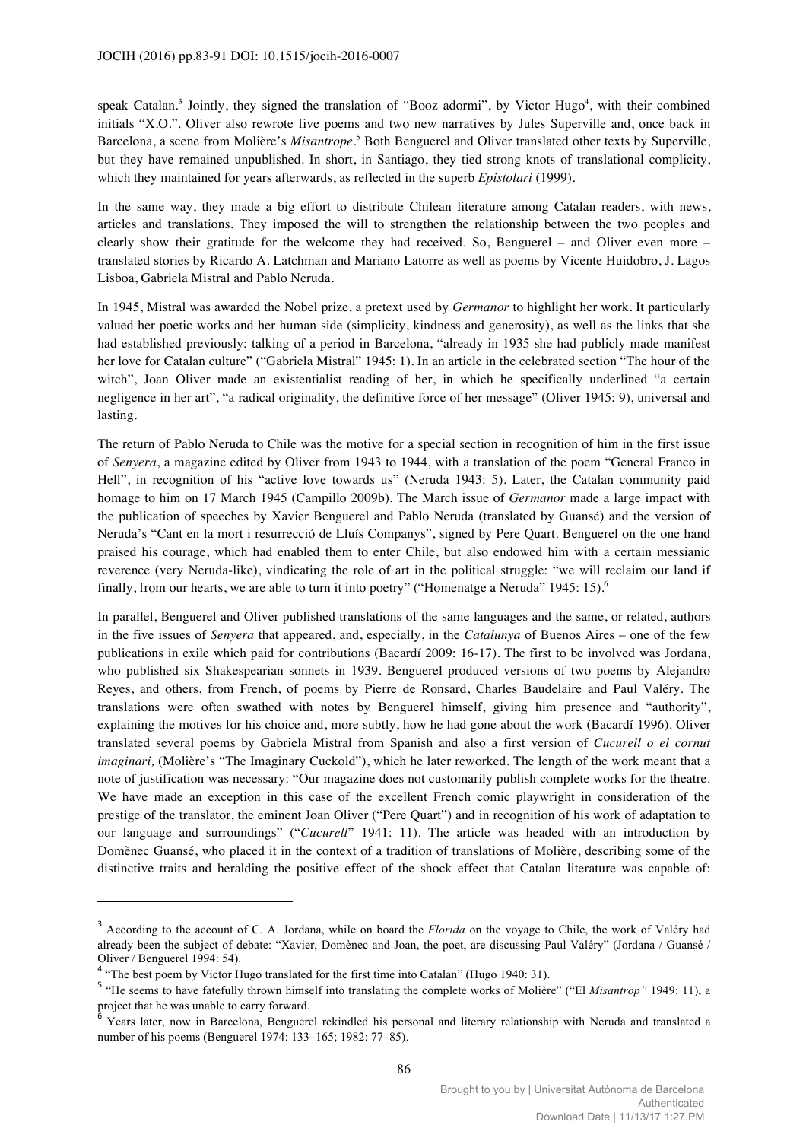speak Catalan.<sup>3</sup> Jointly, they signed the translation of "Booz adormi", by Victor Hugo<sup>4</sup>, with their combined initials "X.O.". Oliver also rewrote five poems and two new narratives by Jules Superville and, once back in Barcelona, a scene from Molière's *Misantrope*. <sup>5</sup> Both Benguerel and Oliver translated other texts by Superville, but they have remained unpublished. In short, in Santiago, they tied strong knots of translational complicity, which they maintained for years afterwards, as reflected in the superb *Epistolari* (1999).

In the same way, they made a big effort to distribute Chilean literature among Catalan readers, with news, articles and translations. They imposed the will to strengthen the relationship between the two peoples and clearly show their gratitude for the welcome they had received. So, Benguerel – and Oliver even more – translated stories by Ricardo A. Latchman and Mariano Latorre as well as poems by Vicente Huidobro, J. Lagos Lisboa, Gabriela Mistral and Pablo Neruda.

In 1945, Mistral was awarded the Nobel prize, a pretext used by *Germanor* to highlight her work. It particularly valued her poetic works and her human side (simplicity, kindness and generosity), as well as the links that she had established previously: talking of a period in Barcelona, "already in 1935 she had publicly made manifest her love for Catalan culture" ("Gabriela Mistral" 1945: 1). In an article in the celebrated section "The hour of the witch", Joan Oliver made an existentialist reading of her, in which he specifically underlined "a certain negligence in her art", "a radical originality, the definitive force of her message" (Oliver 1945: 9), universal and lasting.

The return of Pablo Neruda to Chile was the motive for a special section in recognition of him in the first issue of *Senyera*, a magazine edited by Oliver from 1943 to 1944, with a translation of the poem "General Franco in Hell", in recognition of his "active love towards us" (Neruda 1943: 5). Later, the Catalan community paid homage to him on 17 March 1945 (Campillo 2009b). The March issue of *Germanor* made a large impact with the publication of speeches by Xavier Benguerel and Pablo Neruda (translated by Guansé) and the version of Neruda's "Cant en la mort i resurrecció de Lluís Companys", signed by Pere Quart. Benguerel on the one hand praised his courage, which had enabled them to enter Chile, but also endowed him with a certain messianic reverence (very Neruda-like), vindicating the role of art in the political struggle: "we will reclaim our land if finally, from our hearts, we are able to turn it into poetry" ("Homenatge a Neruda" 1945: 15).<sup>6</sup>

In parallel, Benguerel and Oliver published translations of the same languages and the same, or related, authors in the five issues of *Senyera* that appeared, and, especially, in the *Catalunya* of Buenos Aires – one of the few publications in exile which paid for contributions (Bacardí 2009: 16-17). The first to be involved was Jordana, who published six Shakespearian sonnets in 1939. Benguerel produced versions of two poems by Alejandro Reyes, and others, from French, of poems by Pierre de Ronsard, Charles Baudelaire and Paul Valéry. The translations were often swathed with notes by Benguerel himself, giving him presence and "authority", explaining the motives for his choice and, more subtly, how he had gone about the work (Bacardí 1996). Oliver translated several poems by Gabriela Mistral from Spanish and also a first version of *Cucurell o el cornut imaginari,* (Molière's "The Imaginary Cuckold"), which he later reworked. The length of the work meant that a note of justification was necessary: "Our magazine does not customarily publish complete works for the theatre. We have made an exception in this case of the excellent French comic playwright in consideration of the prestige of the translator, the eminent Joan Oliver ("Pere Quart") and in recognition of his work of adaptation to our language and surroundings" ("*Cucurell*" 1941: 11). The article was headed with an introduction by Domènec Guansé, who placed it in the context of a tradition of translations of Molière, describing some of the distinctive traits and heralding the positive effect of the shock effect that Catalan literature was capable of:

 $\overline{a}$ 

<sup>&</sup>lt;sup>3</sup> According to the account of C. A. Jordana, while on board the *Florida* on the voyage to Chile, the work of Valéry had already been the subject of debate: "Xavier, Domènec and Joan, the poet, are discussing Paul Valéry" (Jordana / Guansé / Oliver / Benguerel 1994: 54). <sup>4</sup> "The best poem by Victor Hugo translated for the first time into Catalan" (Hugo 1940: 31).

<sup>&</sup>lt;sup>5</sup> "He seems to have fatefully thrown himself into translating the complete works of Molière" ("El *Misantrop*" 1949: 11), a project that he was unable to carry forward.

Years later, now in Barcelona, Benguerel rekindled his personal and literary relationship with Neruda and translated a number of his poems (Benguerel 1974: 133–165; 1982: 77–85).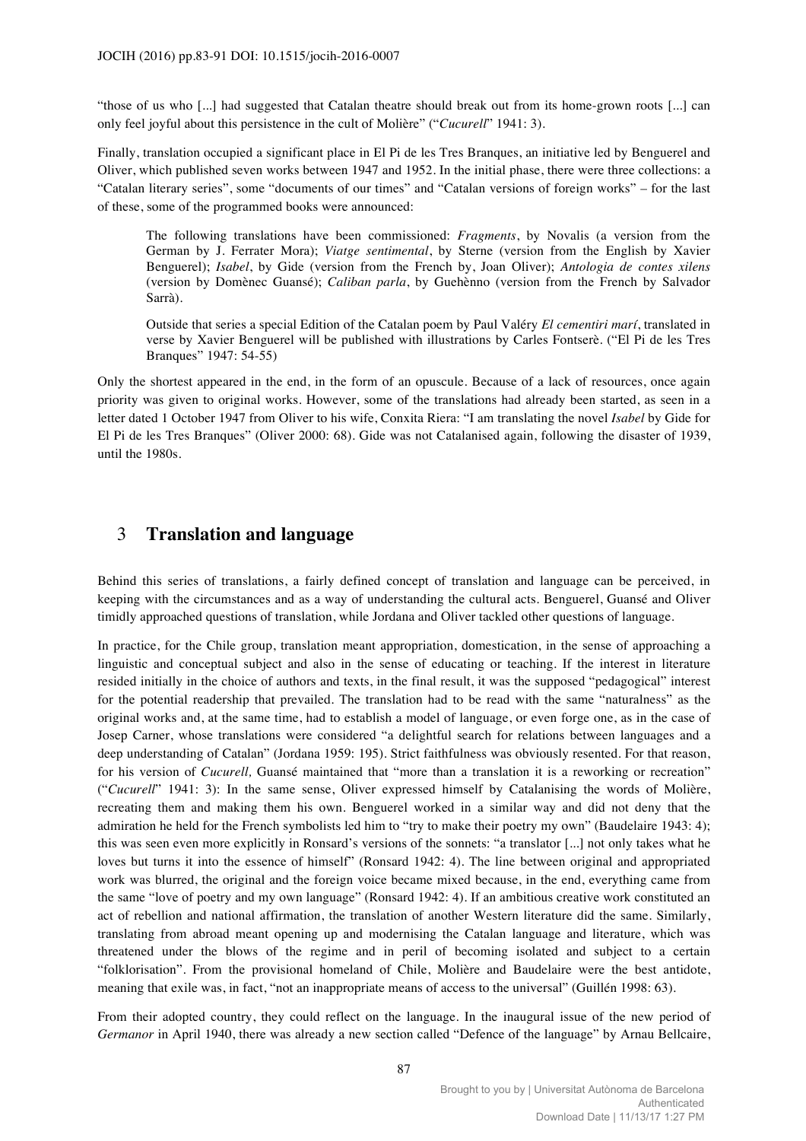"those of us who [...] had suggested that Catalan theatre should break out from its home-grown roots [...] can only feel joyful about this persistence in the cult of Molière" ("*Cucurell*" 1941: 3).

Finally, translation occupied a significant place in El Pi de les Tres Branques, an initiative led by Benguerel and Oliver, which published seven works between 1947 and 1952. In the initial phase, there were three collections: a "Catalan literary series", some "documents of our times" and "Catalan versions of foreign works" – for the last of these, some of the programmed books were announced:

The following translations have been commissioned: *Fragments*, by Novalis (a version from the German by J. Ferrater Mora); *Viatge sentimental*, by Sterne (version from the English by Xavier Benguerel); *Isabel*, by Gide (version from the French by, Joan Oliver); *Antologia de contes xilens* (version by Domènec Guansé); *Caliban parla*, by Guehènno (version from the French by Salvador Sarrà).

Outside that series a special Edition of the Catalan poem by Paul Valéry *El cementiri marí*, translated in verse by Xavier Benguerel will be published with illustrations by Carles Fontserè. ("El Pi de les Tres Branques" 1947: 54-55)

Only the shortest appeared in the end, in the form of an opuscule. Because of a lack of resources, once again priority was given to original works. However, some of the translations had already been started, as seen in a letter dated 1 October 1947 from Oliver to his wife, Conxita Riera: "I am translating the novel *Isabel* by Gide for El Pi de les Tres Branques" (Oliver 2000: 68). Gide was not Catalanised again, following the disaster of 1939, until the 1980s.

#### 3 **Translation and language**

Behind this series of translations, a fairly defined concept of translation and language can be perceived, in keeping with the circumstances and as a way of understanding the cultural acts. Benguerel, Guansé and Oliver timidly approached questions of translation, while Jordana and Oliver tackled other questions of language.

In practice, for the Chile group, translation meant appropriation, domestication, in the sense of approaching a linguistic and conceptual subject and also in the sense of educating or teaching. If the interest in literature resided initially in the choice of authors and texts, in the final result, it was the supposed "pedagogical" interest for the potential readership that prevailed. The translation had to be read with the same "naturalness" as the original works and, at the same time, had to establish a model of language, or even forge one, as in the case of Josep Carner, whose translations were considered "a delightful search for relations between languages and a deep understanding of Catalan" (Jordana 1959: 195). Strict faithfulness was obviously resented. For that reason, for his version of *Cucurell,* Guansé maintained that "more than a translation it is a reworking or recreation" ("*Cucurell*" 1941: 3): In the same sense, Oliver expressed himself by Catalanising the words of Molière, recreating them and making them his own. Benguerel worked in a similar way and did not deny that the admiration he held for the French symbolists led him to "try to make their poetry my own" (Baudelaire 1943: 4); this was seen even more explicitly in Ronsard's versions of the sonnets: "a translator [...] not only takes what he loves but turns it into the essence of himself" (Ronsard 1942: 4). The line between original and appropriated work was blurred, the original and the foreign voice became mixed because, in the end, everything came from the same "love of poetry and my own language" (Ronsard 1942: 4). If an ambitious creative work constituted an act of rebellion and national affirmation, the translation of another Western literature did the same. Similarly, translating from abroad meant opening up and modernising the Catalan language and literature, which was threatened under the blows of the regime and in peril of becoming isolated and subject to a certain "folklorisation". From the provisional homeland of Chile, Molière and Baudelaire were the best antidote, meaning that exile was, in fact, "not an inappropriate means of access to the universal" (Guillén 1998: 63).

From their adopted country, they could reflect on the language. In the inaugural issue of the new period of *Germanor* in April 1940, there was already a new section called "Defence of the language" by Arnau Bellcaire,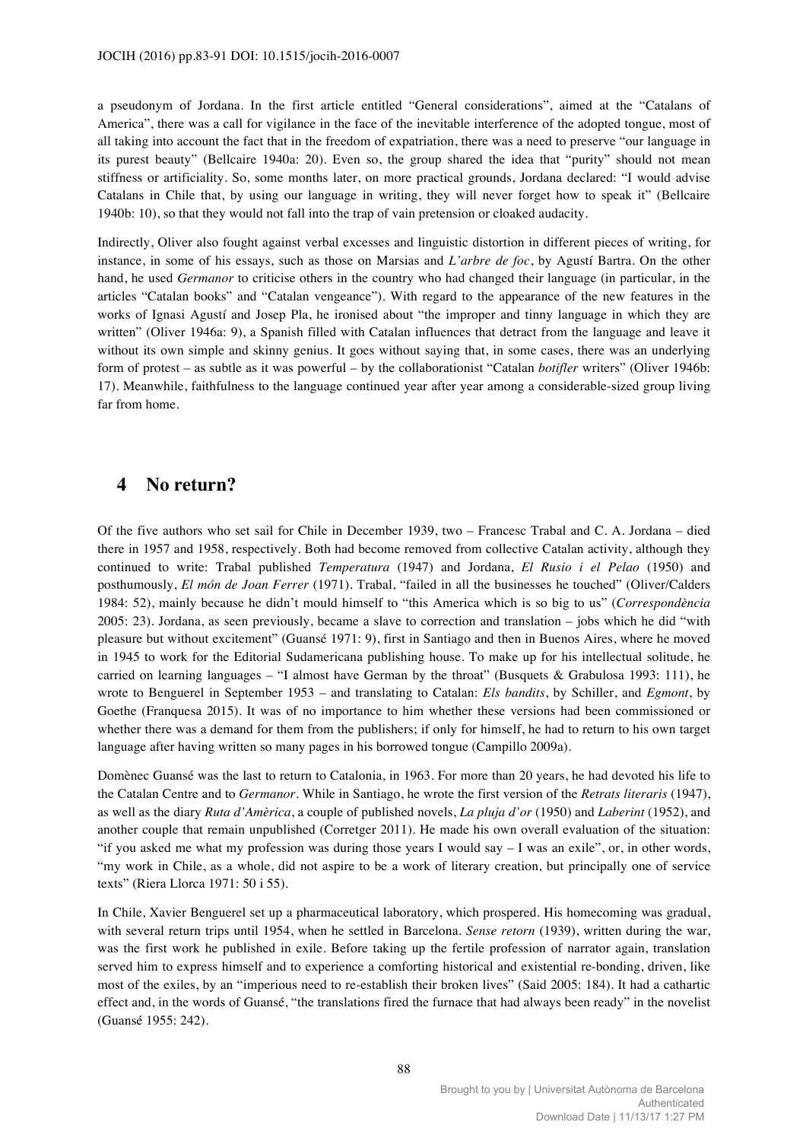a pseudonym of Jordana. In the first article entitled "General considerations", aimed at the "Catalans of America", there was a call for vigilance in the face of the inevitable interference of the adopted tongue, most of all taking into account the fact that in the freedom of expatriation, there was a need to preserve "our language in its purest beauty" (Bellcaire 1940a: 20). Even so, the group shared the idea that "purity" should not mean stiffness or artificiality. So, some months later, on more practical grounds, Jordana declared: "I would advise Catalans in Chile that, by using our language in writing, they will never forget how to speak it" (Bellcaire 1940b: 10), so that they would not fall into the trap of vain pretension or cloaked audacity.

Indirectly, Oliver also fought against verbal excesses and linguistic distortion in different pieces of writing, for instance, in some of his essays, such as those on Marsias and *L'arbre de foc*, by Agustí Bartra. On the other hand, he used *Germanor* to criticise others in the country who had changed their language (in particular, in the articles "Catalan books" and "Catalan vengeance"). With regard to the appearance of the new features in the works of Ignasi Agustí and Josep Pla, he ironised about "the improper and tinny language in which they are written" (Oliver 1946a: 9), a Spanish filled with Catalan influences that detract from the language and leave it without its own simple and skinny genius. It goes without saying that, in some cases, there was an underlying form of protest – as subtle as it was powerful – by the collaborationist "Catalan *botifler* writers" (Oliver 1946b: 17). Meanwhile, faithfulness to the language continued year after year among a considerable-sized group living far from home.

### **4 No return?**

Of the five authors who set sail for Chile in December 1939, two – Francesc Trabal and C. A. Jordana – died there in 1957 and 1958, respectively. Both had become removed from collective Catalan activity, although they continued to write: Trabal published *Temperatura* (1947) and Jordana, *El Rusio i el Pelao* (1950) and posthumously, *El món de Joan Ferrer* (1971). Trabal, "failed in all the businesses he touched" (Oliver/Calders 1984: 52), mainly because he didn't mould himself to "this America which is so big to us" (*Correspondència* 2005: 23). Jordana, as seen previously, became a slave to correction and translation – jobs which he did "with pleasure but without excitement" (Guansé 1971: 9), first in Santiago and then in Buenos Aires, where he moved in 1945 to work for the Editorial Sudamericana publishing house. To make up for his intellectual solitude, he carried on learning languages – "I almost have German by the throat" (Busquets & Grabulosa 1993: 111), he wrote to Benguerel in September 1953 – and translating to Catalan: *Els bandits*, by Schiller, and *Egmont*, by Goethe (Franquesa 2015). It was of no importance to him whether these versions had been commissioned or whether there was a demand for them from the publishers; if only for himself, he had to return to his own target language after having written so many pages in his borrowed tongue (Campillo 2009a).

Domènec Guansé was the last to return to Catalonia, in 1963. For more than 20 years, he had devoted his life to the Catalan Centre and to *Germanor*. While in Santiago, he wrote the first version of the *Retrats literaris* (1947), as well as the diary *Ruta d'Amèrica*, a couple of published novels, *La pluja d'or* (1950) and *Laberint* (1952), and another couple that remain unpublished (Corretger 2011). He made his own overall evaluation of the situation: "if you asked me what my profession was during those years I would say – I was an exile", or, in other words, "my work in Chile, as a whole, did not aspire to be a work of literary creation, but principally one of service texts" (Riera Llorca 1971: 50 i 55).

In Chile, Xavier Benguerel set up a pharmaceutical laboratory, which prospered. His homecoming was gradual, with several return trips until 1954, when he settled in Barcelona. *Sense retorn* (1939), written during the war, was the first work he published in exile. Before taking up the fertile profession of narrator again, translation served him to express himself and to experience a comforting historical and existential re-bonding, driven, like most of the exiles, by an "imperious need to re-establish their broken lives" (Said 2005: 184). It had a cathartic effect and, in the words of Guansé, "the translations fired the furnace that had always been ready" in the novelist (Guansé 1955: 242).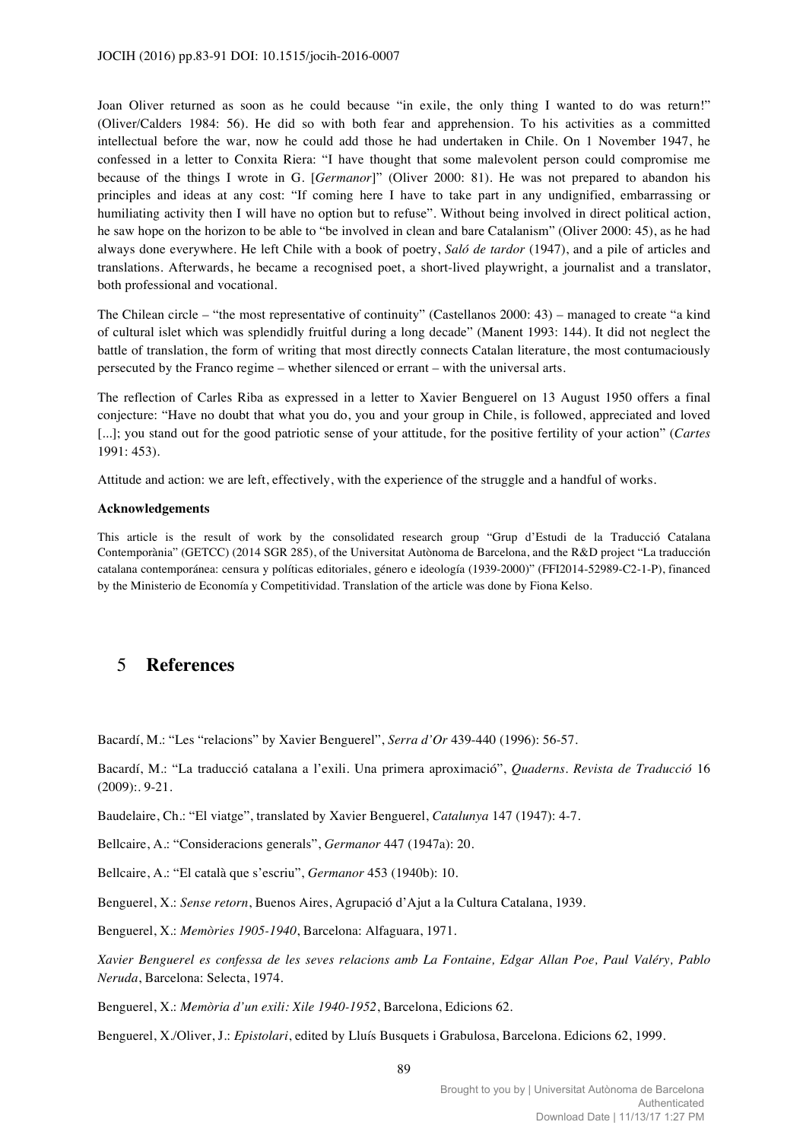Joan Oliver returned as soon as he could because "in exile, the only thing I wanted to do was return!" (Oliver/Calders 1984: 56). He did so with both fear and apprehension. To his activities as a committed intellectual before the war, now he could add those he had undertaken in Chile. On 1 November 1947, he confessed in a letter to Conxita Riera: "I have thought that some malevolent person could compromise me because of the things I wrote in G. [*Germanor*]" (Oliver 2000: 81). He was not prepared to abandon his principles and ideas at any cost: "If coming here I have to take part in any undignified, embarrassing or humiliating activity then I will have no option but to refuse". Without being involved in direct political action, he saw hope on the horizon to be able to "be involved in clean and bare Catalanism" (Oliver 2000: 45), as he had always done everywhere. He left Chile with a book of poetry, *Saló de tardor* (1947), and a pile of articles and translations. Afterwards, he became a recognised poet, a short-lived playwright, a journalist and a translator, both professional and vocational.

The Chilean circle – "the most representative of continuity" (Castellanos 2000: 43) – managed to create "a kind of cultural islet which was splendidly fruitful during a long decade" (Manent 1993: 144). It did not neglect the battle of translation, the form of writing that most directly connects Catalan literature, the most contumaciously persecuted by the Franco regime – whether silenced or errant – with the universal arts.

The reflection of Carles Riba as expressed in a letter to Xavier Benguerel on 13 August 1950 offers a final conjecture: "Have no doubt that what you do, you and your group in Chile, is followed, appreciated and loved [...]; you stand out for the good patriotic sense of your attitude, for the positive fertility of your action" (*Cartes*  1991: 453).

Attitude and action: we are left, effectively, with the experience of the struggle and a handful of works.

#### **Acknowledgements**

This article is the result of work by the consolidated research group "Grup d'Estudi de la Traducció Catalana Contemporània" (GETCC) (2014 SGR 285), of the Universitat Autònoma de Barcelona, and the R&D project "La traducción catalana contemporánea: censura y políticas editoriales, género e ideología (1939-2000)" (FFI2014-52989-C2-1-P), financed by the Ministerio de Economía y Competitividad. Translation of the article was done by Fiona Kelso.

## 5 **References**

Bacardí, M.: "Les "relacions" by Xavier Benguerel", *Serra d'Or* 439-440 (1996): 56-57.

Bacardí, M.: "La traducció catalana a l'exili. Una primera aproximació", *Quaderns. Revista de Traducció* 16 (2009):. 9-21.

Baudelaire, Ch.: "El viatge", translated by Xavier Benguerel, *Catalunya* 147 (1947): 4-7.

Bellcaire, A.: "Consideracions generals", *Germanor* 447 (1947a): 20.

Bellcaire, A.: "El català que s'escriu", *Germanor* 453 (1940b): 10.

Benguerel, X.: *Sense retorn*, Buenos Aires, Agrupació d'Ajut a la Cultura Catalana, 1939.

Benguerel, X.: *Memòries 1905-1940*, Barcelona: Alfaguara, 1971.

*Xavier Benguerel es confessa de les seves relacions amb La Fontaine, Edgar Allan Poe, Paul Valéry, Pablo Neruda*, Barcelona: Selecta, 1974.

Benguerel, X.: *Memòria d'un exili: Xile 1940-1952*, Barcelona, Edicions 62.

Benguerel, X./Oliver, J.: *Epistolari*, edited by Lluís Busquets i Grabulosa, Barcelona. Edicions 62, 1999.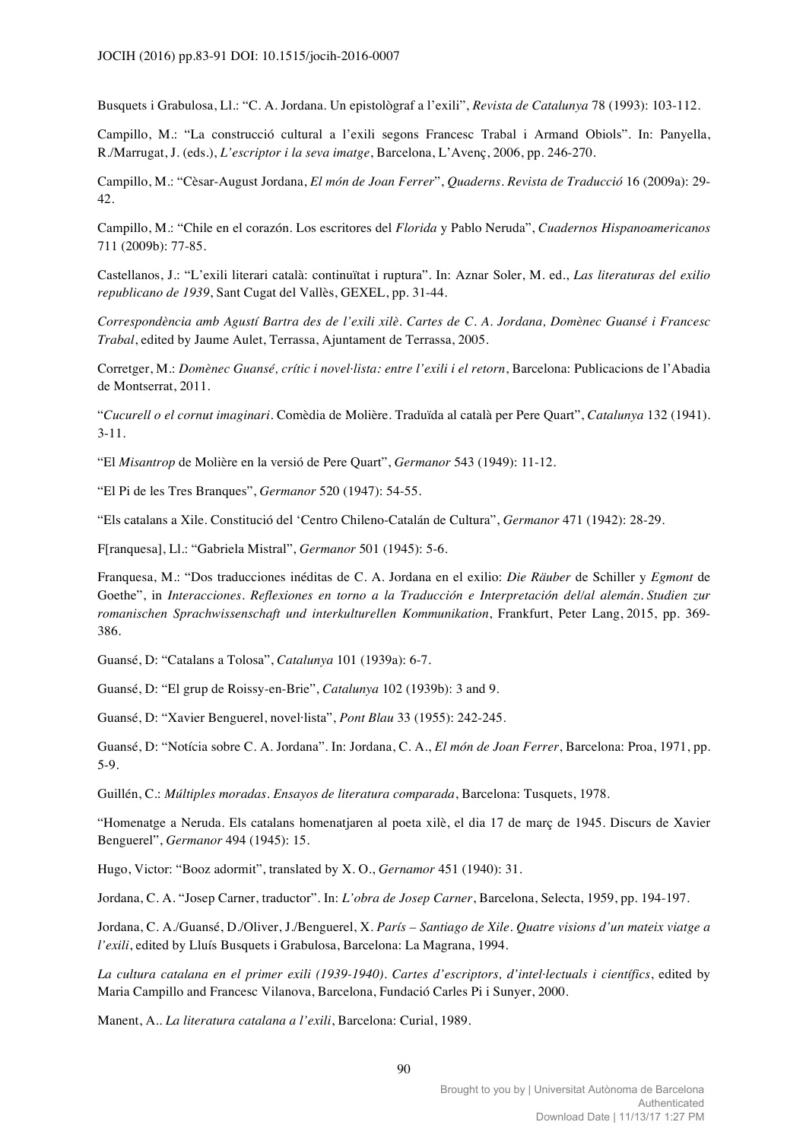Busquets i Grabulosa, Ll.: "C. A. Jordana. Un epistològraf a l'exili", *Revista de Catalunya* 78 (1993): 103-112.

Campillo, M.: "La construcció cultural a l'exili segons Francesc Trabal i Armand Obiols". In: Panyella, R./Marrugat, J. (eds.), *L'escriptor i la seva imatge*, Barcelona, L'Avenç, 2006, pp. 246-270.

Campillo, M.: "Cèsar-August Jordana, *El món de Joan Ferrer*", *Quaderns. Revista de Traducció* 16 (2009a): 29- 42.

Campillo, M.: "Chile en el corazón. Los escritores del *Florida* y Pablo Neruda", *Cuadernos Hispanoamericanos* 711 (2009b): 77-85.

Castellanos, J.: "L'exili literari català: continuïtat i ruptura". In: Aznar Soler, M. ed., *Las literaturas del exilio republicano de 1939*, Sant Cugat del Vallès, GEXEL, pp. 31-44.

*Correspondència amb Agustí Bartra des de l'exili xilè. Cartes de C. A. Jordana, Domènec Guansé i Francesc Trabal*, edited by Jaume Aulet, Terrassa, Ajuntament de Terrassa, 2005.

Corretger, M.: *Domènec Guansé, crític i novel·lista: entre l'exili i el retorn*, Barcelona: Publicacions de l'Abadia de Montserrat, 2011.

"*Cucurell o el cornut imaginari*. Comèdia de Molière. Traduïda al català per Pere Quart", *Catalunya* 132 (1941). 3-11.

"El *Misantrop* de Molière en la versió de Pere Quart", *Germanor* 543 (1949): 11-12.

"El Pi de les Tres Branques", *Germanor* 520 (1947): 54-55.

"Els catalans a Xile. Constitució del 'Centro Chileno-Catalán de Cultura", *Germanor* 471 (1942): 28-29.

F[ranquesa], Ll.: "Gabriela Mistral", *Germanor* 501 (1945): 5-6.

Franquesa, M.: "Dos traducciones inéditas de C. A. Jordana en el exilio: *Die Räuber* de Schiller y *Egmont* de Goethe", in *Interacciones. Reflexiones en torno a la Traducción e Interpretación del/al alemán*. *Studien zur romanischen Sprachwissenschaft und interkulturellen Kommunikation*, Frankfurt, Peter Lang, 2015, pp. 369- 386.

Guansé, D: "Catalans a Tolosa", *Catalunya* 101 (1939a): 6-7.

Guansé, D: "El grup de Roissy-en-Brie", *Catalunya* 102 (1939b): 3 and 9.

Guansé, D: "Xavier Benguerel, novel·lista", *Pont Blau* 33 (1955): 242-245.

Guansé, D: "Notícia sobre C. A. Jordana". In: Jordana, C. A., *El món de Joan Ferrer*, Barcelona: Proa, 1971, pp. 5-9.

Guillén, C.: *Múltiples moradas. Ensayos de literatura comparada*, Barcelona: Tusquets, 1978.

"Homenatge a Neruda. Els catalans homenatjaren al poeta xilè, el dia 17 de març de 1945. Discurs de Xavier Benguerel", *Germanor* 494 (1945): 15.

Hugo, Victor: "Booz adormit", translated by X. O., *Gernamor* 451 (1940): 31.

Jordana, C. A. "Josep Carner, traductor". In: *L'obra de Josep Carner*, Barcelona, Selecta, 1959, pp. 194-197.

Jordana, C. A./Guansé, D./Oliver, J./Benguerel, X. *París – Santiago de Xile. Quatre visions d'un mateix viatge a l'exili*, edited by Lluís Busquets i Grabulosa, Barcelona: La Magrana, 1994.

*La cultura catalana en el primer exili (1939-1940). Cartes d'escriptors, d'intel·lectuals i científics*, edited by Maria Campillo and Francesc Vilanova, Barcelona, Fundació Carles Pi i Sunyer, 2000.

Manent, A.. *La literatura catalana a l'exili*, Barcelona: Curial, 1989.